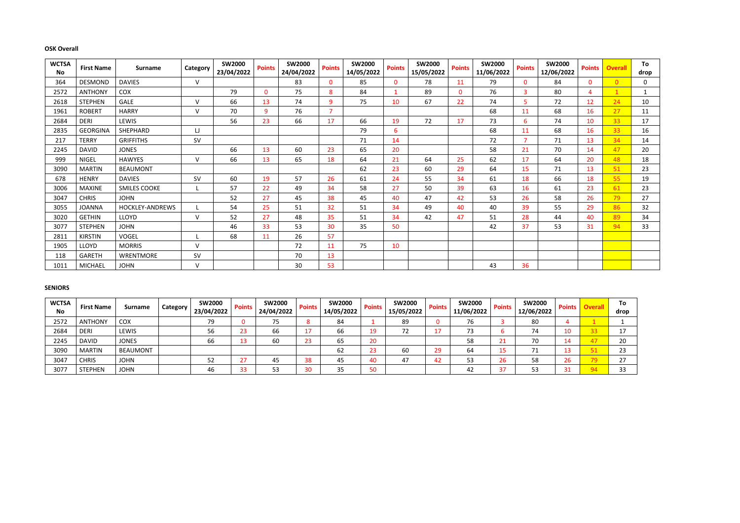### **OSK Overall**

| <b>WCTSA</b><br><b>No</b> | <b>First Name</b> | Surname             | Category     | <b>SW2000</b><br>23/04/2022 | <b>Points</b> | <b>SW2000</b><br>24/04/2022 | <b>Points</b> | <b>SW2000</b><br>14/05/2022 | <b>Points</b> | <b>SW2000</b><br>15/05/2022 | <b>Points</b> | <b>SW2000</b><br>11/06/2022 | <b>Points</b>  | <b>SW2000</b><br>12/06/2022 | <b>Points</b> | <b>Overall</b> | To<br>drop |
|---------------------------|-------------------|---------------------|--------------|-----------------------------|---------------|-----------------------------|---------------|-----------------------------|---------------|-----------------------------|---------------|-----------------------------|----------------|-----------------------------|---------------|----------------|------------|
| 364                       | <b>DESMOND</b>    | <b>DAVIES</b>       | $\mathsf{V}$ |                             |               | 83                          | $\Omega$      | 85                          | $\mathbf{0}$  | 78                          | 11            | 79                          | $\mathbf{0}$   | 84                          | $\mathbf 0$   | $\overline{0}$ | 0          |
| 2572                      | <b>ANTHONY</b>    | COX                 |              | 79                          | $\mathbf{0}$  | 75                          | 8             | 84                          |               | 89                          | $\mathbf{0}$  | 76                          | $\overline{3}$ | 80                          | 4             | $\mathbf{1}$   |            |
| 2618                      | <b>STEPHEN</b>    | <b>GALE</b>         | $\mathsf{V}$ | 66                          | 13            | 74                          | 9             | 75                          | 10            | 67                          | 22            | 74                          | 5              | 72                          | 12            | 24             | 10         |
| 1961                      | <b>ROBERT</b>     | <b>HARRY</b>        | $\vee$       | 70                          | 9             | 76                          | $\mathbf{r}$  |                             |               |                             |               | 68                          | 11             | 68                          | 16            | 27             | 11         |
| 2684                      | <b>DERI</b>       | <b>LEWIS</b>        |              | 56                          | 23            | 66                          | 17            | 66                          | 19            | 72                          | 17            | 73                          | 6              | 74                          | 10            | 33             | 17         |
| 2835                      | <b>GEORGINA</b>   | SHEPHARD            | IJ           |                             |               |                             |               | 79                          | 6             |                             |               | 68                          | 11             | 68                          | 16            | 33             | 16         |
| 217                       | <b>TERRY</b>      | <b>GRIFFITHS</b>    | <b>SV</b>    |                             |               |                             |               | 71                          | 14            |                             |               | 72                          | 7              | 71                          | 13            | 34             | 14         |
| 2245                      | <b>DAVID</b>      | <b>JONES</b>        |              | 66                          | 13            | 60                          | 23            | 65                          | 20            |                             |               | 58                          | 21             | 70                          | 14            | 47             | 20         |
| 999                       | <b>NIGEL</b>      | <b>HAWYES</b>       | $\vee$       | 66                          | 13            | 65                          | 18            | 64                          | 21            | 64                          | 25            | 62                          | 17             | 64                          | 20            | 48             | 18         |
| 3090                      | <b>MARTIN</b>     | <b>BEAUMONT</b>     |              |                             |               |                             |               | 62                          | 23            | 60                          | 29            | 64                          | 15             | 71                          | 13            | 51             | 23         |
| 678                       | <b>HENRY</b>      | <b>DAVIES</b>       | <b>SV</b>    | 60                          | 19            | 57                          | 26            | 61                          | 24            | 55                          | 34            | 61                          | 18             | 66                          | 18            | 55             | 19         |
| 3006                      | <b>MAXINE</b>     | <b>SMILES COOKE</b> |              | 57                          | 22            | 49                          | 34            | 58                          | 27            | 50                          | 39            | 63                          | 16             | 61                          | 23            | 61             | 23         |
| 3047                      | <b>CHRIS</b>      | <b>JOHN</b>         |              | 52                          | 27            | 45                          | 38            | 45                          | 40            | 47                          | 42            | 53                          | 26             | 58                          | 26            | 79             | 27         |
| 3055                      | <b>JOANNA</b>     | HOCKLEY-ANDREWS     |              | 54                          | 25            | 51                          | 32            | 51                          | 34            | 49                          | 40            | 40                          | 39             | 55                          | 29            | 86             | 32         |
| 3020                      | <b>GETHIN</b>     | LLOYD               | $\vee$       | 52                          | 27            | 48                          | 35            | 51                          | 34            | 42                          | 47            | 51                          | 28             | 44                          | 40            | 89             | 34         |
| 3077                      | <b>STEPHEN</b>    | <b>JOHN</b>         |              | 46                          | 33            | 53                          | 30            | 35                          | 50            |                             |               | 42                          | 37             | 53                          | 31            | 94             | 33         |
| 2811                      | <b>KIRSTIN</b>    | <b>VOGEL</b>        |              | 68                          | 11            | 26                          | 57            |                             |               |                             |               |                             |                |                             |               |                |            |
| 1905                      | LLOYD             | <b>MORRIS</b>       | $\vee$       |                             |               | 72                          | 11            | 75                          | 10            |                             |               |                             |                |                             |               |                |            |
| 118                       | <b>GARETH</b>     | <b>WRENTMORE</b>    | <b>SV</b>    |                             |               | 70                          | 13            |                             |               |                             |               |                             |                |                             |               |                |            |
| 1011                      | <b>MICHAEL</b>    | <b>JOHN</b>         | $\vee$       |                             |               | 30                          | 53            |                             |               |                             |               | 43                          | 36             |                             |               |                |            |

### **SENIORS**

| <b>WCTSA</b><br><b>No</b> | <b>First Name</b> | <b>Surname</b>  | Category | <b>SW2000</b><br>23/04/2022 | <b>Points</b>     | <b>SW2000</b><br>24/04/2022 | <b>Points</b> | <b>SW2000</b><br>14/05/2022 | <b>Points</b> | <b>SW2000</b><br>15/05/2022 | <b>Points</b> | <b>SW2000</b><br>11/06/2022 | <b>Points</b> | <b>SW2000</b><br>12/06/2022 | <b>Points</b> | <b>Overall</b> | To<br>drop |
|---------------------------|-------------------|-----------------|----------|-----------------------------|-------------------|-----------------------------|---------------|-----------------------------|---------------|-----------------------------|---------------|-----------------------------|---------------|-----------------------------|---------------|----------------|------------|
| 2572                      | <b>ANTHONY</b>    | <b>COX</b>      |          | 79                          |                   |                             |               | 84                          |               | 89                          |               | 76                          |               | 80                          |               |                |            |
| 2684                      | <b>DERI</b>       | LEWIS           |          | 56                          | 23                | bЬ                          |               | 66                          | 19            | 72                          |               | 70                          |               | 74                          | 10            |                |            |
| 2245                      | <b>DAVID</b>      | <b>JONES</b>    |          | bb                          | $\triangle$<br>40 | 60                          |               | 65                          | 20            |                             |               | 58                          |               | 70                          | 14            |                | 20         |
| 3090                      | <b>MARTIN</b>     | <b>BEAUMONT</b> |          |                             |                   |                             |               | 62                          | າາ<br>23      | 60                          | 29            | 64                          |               | 74                          | 13            |                | วว<br>دے   |
| 3047                      | CHRIS             | <b>JOHN</b>     |          |                             |                   | 45                          | 38            | 45                          | 40            | 47                          | -42           | 53                          |               | 58                          | 26            |                | ר ר        |
| 3077                      | <b>STEPHEN</b>    | JOHN            |          | 46                          |                   |                             |               | 35                          | 50            |                             |               | 42                          |               | 53<br>JJ                    |               |                | 33         |